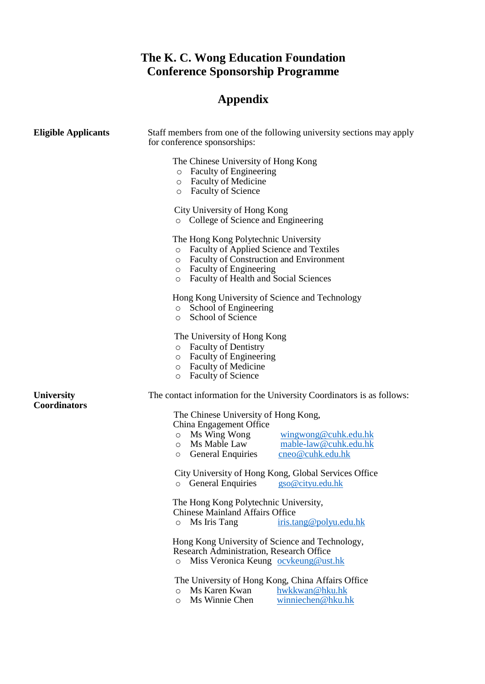## **The K. C. Wong Education Foundation Conference Sponsorship Programme**

## **Appendix**

| <b>Eligible Applicants</b>               | Staff members from one of the following university sections may apply<br>for conference sponsorships:                                                                                                                                                   |
|------------------------------------------|---------------------------------------------------------------------------------------------------------------------------------------------------------------------------------------------------------------------------------------------------------|
|                                          | The Chinese University of Hong Kong<br><b>Faculty of Engineering</b><br>$\circ$<br><b>Faculty of Medicine</b><br>$\circ$<br><b>Faculty of Science</b><br>$\circ$                                                                                        |
|                                          | City University of Hong Kong<br>o College of Science and Engineering                                                                                                                                                                                    |
|                                          | The Hong Kong Polytechnic University<br>Faculty of Applied Science and Textiles<br>$\circ$<br><b>Faculty of Construction and Environment</b><br>$\circ$<br><b>Faculty of Engineering</b><br>$\circ$<br>Faculty of Health and Social Sciences<br>$\circ$ |
|                                          | Hong Kong University of Science and Technology<br>School of Engineering<br>$\circ$<br>School of Science<br>$\circ$                                                                                                                                      |
|                                          | The University of Hong Kong<br><b>Faculty of Dentistry</b><br>$\circ$<br><b>Faculty of Engineering</b><br>$\circ$<br><b>Faculty of Medicine</b><br>$\circ$<br><b>Faculty of Science</b><br>$\circ$                                                      |
| <b>University</b><br><b>Coordinators</b> | The contact information for the University Coordinators is as follows:                                                                                                                                                                                  |
|                                          | The Chinese University of Hong Kong,<br>China Engagement Office<br>Ms Wing Wong<br>wingwong@cuhk.edu.hk<br>$\circ$<br>Ms Mable Law<br>mable-law@cuhk.edu.hk<br>$\circ$<br><b>General Enquiries</b><br>cneo@cuhk.edu.hk<br>$\circ$                       |
|                                          | City University of Hong Kong, Global Services Office<br>o General Enquiries<br>gso@cityu.edu.hk                                                                                                                                                         |
|                                          | The Hong Kong Polytechnic University,<br><b>Chinese Mainland Affairs Office</b><br>Ms Iris Tang<br>iris.tang@polyu.edu.hk<br>$\circ$                                                                                                                    |
|                                          | Hong Kong University of Science and Technology,<br>Research Administration, Research Office<br>Miss Veronica Keung ocykeung@ust.hk<br>$\circ$                                                                                                           |
|                                          | The University of Hong Kong, China Affairs Office<br>Ms Karen Kwan<br>hwkkwan@hku.hk<br>$\circ$<br>Ms Winnie Chen<br>winniechen@hku.hk<br>$\circ$                                                                                                       |